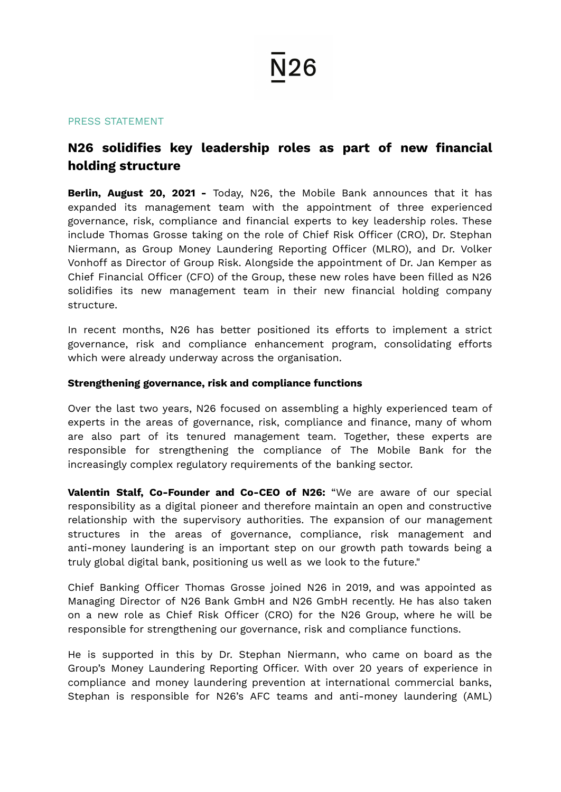# N26

#### PRESS STATEMENT

### **N26 solidifies key leadership roles as part of new financial holding structure**

**Berlin, August 20, 2021 -** Today, N26, the Mobile Bank announces that it has expanded its management team with the appointment of three experienced governance, risk, compliance and financial experts to key leadership roles. These include Thomas Grosse taking on the role of Chief Risk Officer (CRO), Dr. Stephan Niermann, as Group Money Laundering Reporting Officer (MLRO), and Dr. Volker Vonhoff as Director of Group Risk. Alongside the appointment of Dr. Jan Kemper as Chief Financial Officer (CFO) of the Group, these new roles have been filled as N26 solidifies its new management team in their new financial holding company structure.

In recent months, N26 has better positioned its efforts to implement a strict governance, risk and compliance enhancement program, consolidating efforts which were already underway across the organisation.

### **Strengthening governance, risk and compliance functions**

Over the last two years, N26 focused on assembling a highly experienced team of experts in the areas of governance, risk, compliance and finance, many of whom are also part of its tenured management team. Together, these experts are responsible for strengthening the compliance of The Mobile Bank for the increasingly complex regulatory requirements of the banking sector.

**Valentin Stalf, Co-Founder and Co-CEO of N26:** "We are aware of our special responsibility as a digital pioneer and therefore maintain an open and constructive relationship with the supervisory authorities. The expansion of our management structures in the areas of governance, compliance, risk management and anti-money laundering is an important step on our growth path towards being a truly global digital bank, positioning us well as we look to the future."

Chief Banking Officer Thomas Grosse joined N26 in 2019, and was appointed as Managing Director of N26 Bank GmbH and N26 GmbH recently. He has also taken on a new role as Chief Risk Officer (CRO) for the N26 Group, where he will be responsible for strengthening our governance, risk and compliance functions.

He is supported in this by Dr. Stephan Niermann, who came on board as the Group's Money Laundering Reporting Officer. With over 20 years of experience in compliance and money laundering prevention at international commercial banks, Stephan is responsible for N26's AFC teams and anti-money laundering (AML)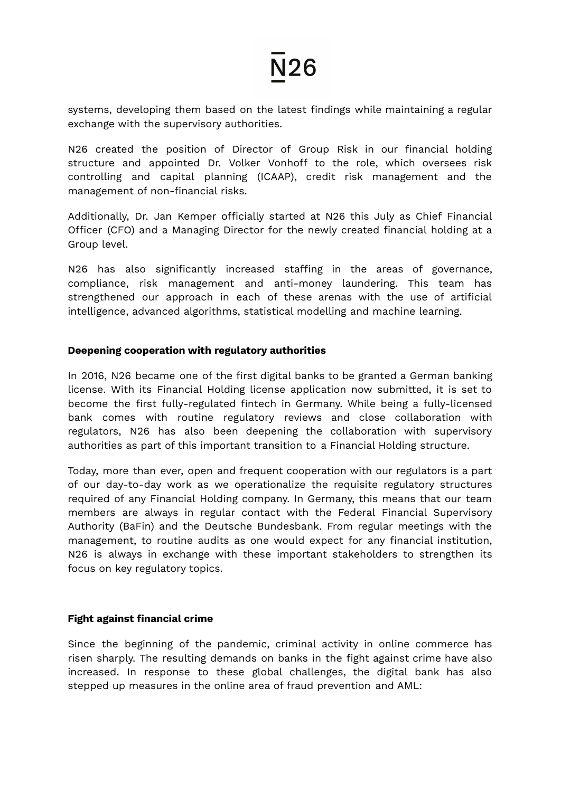### **N26**

systems, developing them based on the latest findings while maintaining a regular exchange with the supervisory authorities.

N26 created the position of Director of Group Risk in our financial holding structure and appointed Dr. Volker Vonhoff to the role, which oversees risk controlling and capital planning (ICAAP), credit risk management and the management of non-financial risks.

Additionally, Dr. Jan Kemper officially started at N26 this July as Chief Financial Officer (CFO) and a Managing Director for the newly created financial holding at a Group level.

N26 has also significantly increased staffing in the areas of governance, compliance, risk management and anti-money laundering. This team has strengthened our approach in each of these arenas with the use of artificial intelligence, advanced algorithms, statistical modelling and machine learning.

### **Deepening cooperation with regulatory authorities**

In 2016, N26 became one of the first digital banks to be granted a German banking license. With its Financial Holding license application now submitted, it is set to become the first fully-regulated fintech in Germany. While being a fully-licensed bank comes with routine regulatory reviews and close collaboration with regulators, N26 has also been deepening the collaboration with supervisory authorities as part of this important transition to a Financial Holding structure.

Today, more than ever, open and frequent cooperation with our regulators is a part of our day-to-day work as we operationalize the requisite regulatory structures required of any Financial Holding company. In Germany, this means that our team members are always in regular contact with the Federal Financial Supervisory Authority (BaFin) and the Deutsche Bundesbank. From regular meetings with the management, to routine audits as one would expect for any financial institution, N26 is always in exchange with these important stakeholders to strengthen its focus on key regulatory topics.

### **Fight against financial crime**

Since the beginning of the pandemic, criminal activity in online commerce has risen sharply. The resulting demands on banks in the fight against crime have also increased. In response to these global challenges, the digital bank has also stepped up measures in the online area of fraud prevention and AML: